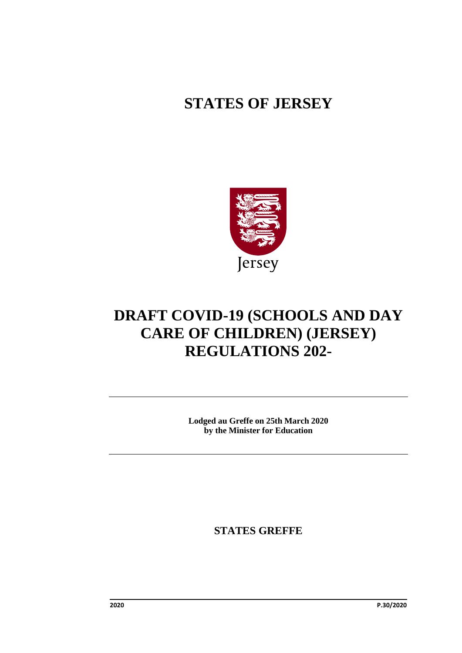# **STATES OF JERSEY**



# **DRAFT COVID-19 (SCHOOLS AND DAY CARE OF CHILDREN) (JERSEY) REGULATIONS 202-**

**Lodged au Greffe on 25th March 2020 by the Minister for Education**

**STATES GREFFE**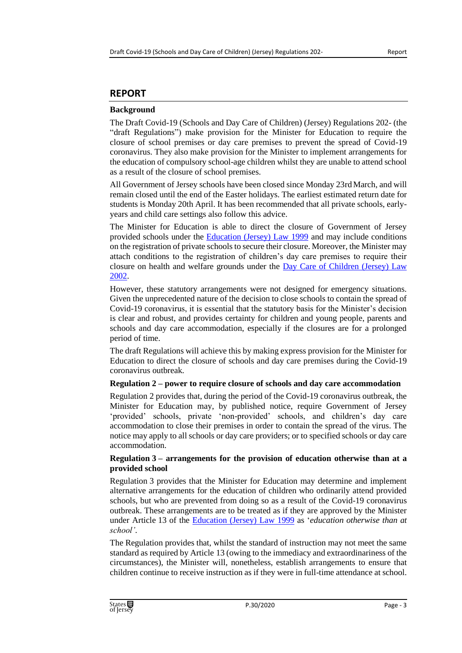### **REPORT**

#### **Background**

The Draft Covid-19 (Schools and Day Care of Children) (Jersey) Regulations 202- (the "draft Regulations") make provision for the Minister for Education to require the closure of school premises or day care premises to prevent the spread of Covid-19 coronavirus. They also make provision for the Minister to implement arrangements for the education of compulsory school-age children whilst they are unable to attend school as a result of the closure of school premises.

All Government of Jersey schools have been closed since Monday 23rdMarch, and will remain closed until the end of the Easter holidays. The earliest estimated return date for students is Monday 20th April. It has been recommended that all private schools, earlyyears and child care settings also follow this advice.

The Minister for Education is able to direct the closure of Government of Jersey provided schools under the [Education \(Jersey\) Law 1999](https://www.jerseylaw.je/laws/revised/Pages/10.800.aspx) and may include conditions on the registration of private schools to secure their closure. Moreover, the Minister may attach conditions to the registration of children's day care premises to require their closure on health and welfare grounds under the Day Care of Children (Jersey) Law [2002.](https://www.jerseylaw.je/laws/revised/Pages/10.700.aspx)

However, these statutory arrangements were not designed for emergency situations. Given the unprecedented nature of the decision to close schools to contain the spread of Covid-19 coronavirus, it is essential that the statutory basis for the Minister's decision is clear and robust, and provides certainty for children and young people, parents and schools and day care accommodation, especially if the closures are for a prolonged period of time.

The draft Regulations will achieve this by making express provision for the Minister for Education to direct the closure of schools and day care premises during the Covid-19 coronavirus outbreak.

#### **Regulation 2 – power to require closure of schools and day care accommodation**

Regulation 2 provides that, during the period of the Covid-19 coronavirus outbreak, the Minister for Education may, by published notice, require Government of Jersey 'provided' schools, private 'non-provided' schools, and children's day care accommodation to close their premises in order to contain the spread of the virus. The notice may apply to all schools or day care providers; or to specified schools or day care accommodation.

#### **Regulation 3 – arrangements for the provision of education otherwise than at a provided school**

Regulation 3 provides that the Minister for Education may determine and implement alternative arrangements for the education of children who ordinarily attend provided schools, but who are prevented from doing so as a result of the Covid-19 coronavirus outbreak. These arrangements are to be treated as if they are approved by the Minister under Article 13 of the [Education \(Jersey\) Law 1999](https://www.jerseylaw.je/laws/revised/Pages/10.800.aspx) as '*education otherwise than at school'*.

The Regulation provides that, whilst the standard of instruction may not meet the same standard as required by Article 13 (owing to the immediacy and extraordinariness of the circumstances), the Minister will, nonetheless, establish arrangements to ensure that children continue to receive instruction as if they were in full-time attendance at school.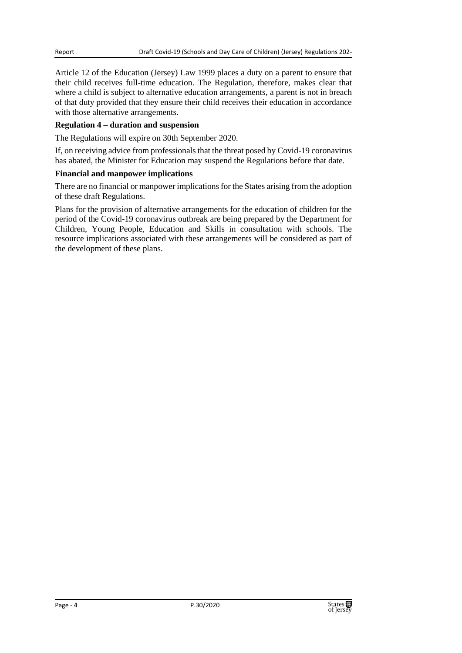Article 12 of the Education (Jersey) Law 1999 places a duty on a parent to ensure that their child receives full-time education. The Regulation, therefore, makes clear that where a child is subject to alternative education arrangements, a parent is not in breach of that duty provided that they ensure their child receives their education in accordance with those alternative arrangements.

#### **Regulation 4 – duration and suspension**

The Regulations will expire on 30th September 2020.

If, on receiving advice from professionals that the threat posed by Covid-19 coronavirus has abated, the Minister for Education may suspend the Regulations before that date.

#### **Financial and manpower implications**

There are no financial or manpower implications for the States arising from the adoption of these draft Regulations.

Plans for the provision of alternative arrangements for the education of children for the period of the Covid-19 coronavirus outbreak are being prepared by the Department for Children, Young People, Education and Skills in consultation with schools. The resource implications associated with these arrangements will be considered as part of the development of these plans.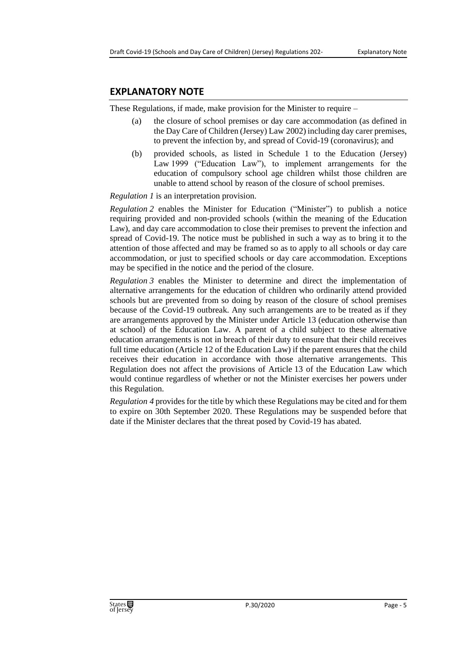#### **EXPLANATORY NOTE**

These Regulations, if made, make provision for the Minister to require –

- (a) the closure of school premises or day care accommodation (as defined in the Day Care of Children (Jersey) Law 2002) including day carer premises, to prevent the infection by, and spread of Covid-19 (coronavirus); and
- (b) provided schools, as listed in Schedule 1 to the Education (Jersey) Law 1999 ("Education Law"), to implement arrangements for the education of compulsory school age children whilst those children are unable to attend school by reason of the closure of school premises.

*Regulation 1* is an interpretation provision.

*Regulation 2* enables the Minister for Education ("Minister") to publish a notice requiring provided and non-provided schools (within the meaning of the Education Law), and day care accommodation to close their premises to prevent the infection and spread of Covid-19. The notice must be published in such a way as to bring it to the attention of those affected and may be framed so as to apply to all schools or day care accommodation, or just to specified schools or day care accommodation. Exceptions may be specified in the notice and the period of the closure.

*Regulation 3* enables the Minister to determine and direct the implementation of alternative arrangements for the education of children who ordinarily attend provided schools but are prevented from so doing by reason of the closure of school premises because of the Covid-19 outbreak. Any such arrangements are to be treated as if they are arrangements approved by the Minister under Article 13 (education otherwise than at school) of the Education Law. A parent of a child subject to these alternative education arrangements is not in breach of their duty to ensure that their child receives full time education (Article 12 of the Education Law) if the parent ensures that the child receives their education in accordance with those alternative arrangements. This Regulation does not affect the provisions of Article 13 of the Education Law which would continue regardless of whether or not the Minister exercises her powers under this Regulation.

*Regulation 4* provides for the title by which these Regulations may be cited and for them to expire on 30th September 2020. These Regulations may be suspended before that date if the Minister declares that the threat posed by Covid-19 has abated.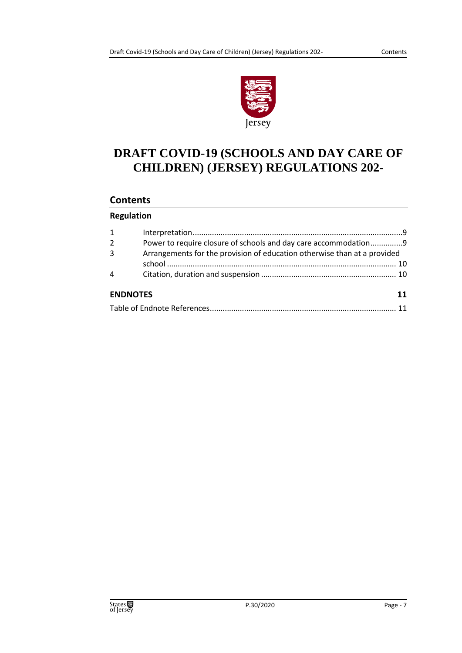

# **DRAFT COVID-19 (SCHOOLS AND DAY CARE OF CHILDREN) (JERSEY) REGULATIONS 202-**

### **Contents**

#### **Regulation**

| $\mathbf{1}$    |                                                                          |    |
|-----------------|--------------------------------------------------------------------------|----|
| $\overline{2}$  | Power to require closure of schools and day care accommodation9          |    |
| $\overline{3}$  | Arrangements for the provision of education otherwise than at a provided |    |
|                 |                                                                          |    |
| 4               |                                                                          |    |
| <b>ENDNOTES</b> |                                                                          | 11 |
|                 |                                                                          |    |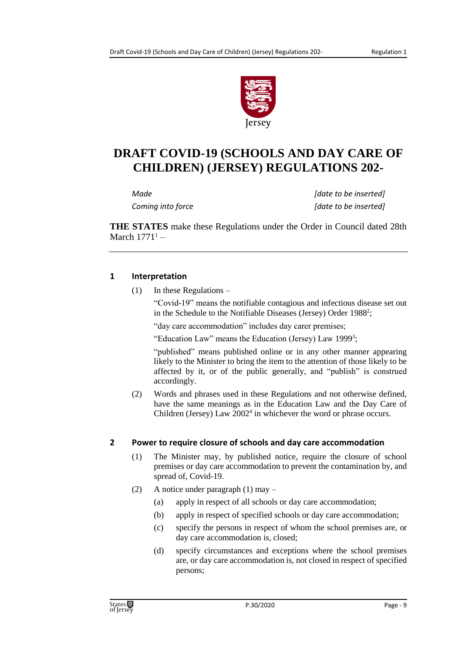

## **DRAFT COVID-19 (SCHOOLS AND DAY CARE OF CHILDREN) (JERSEY) REGULATIONS 202-**

*Made [date to be inserted] Coming into force [date to be inserted]*

**THE STATES** make these Regulations under the Order in Council dated 28th March  $1771<sup>1</sup>$  –

#### <span id="page-8-0"></span>**1 Interpretation**

(1) In these Regulations –

"Covid-19" means the notifiable contagious and infectious disease set out in the Schedule to the Notifiable Diseases (Jersey) Order 1988<sup>2</sup>;

"day care accommodation" includes day carer premises;

"Education Law" means the Education (Jersey) Law 1999<sup>3</sup>;

"published" means published online or in any other manner appearing likely to the Minister to bring the item to the attention of those likely to be affected by it, or of the public generally, and "publish" is construed accordingly.

(2) Words and phrases used in these Regulations and not otherwise defined, have the same meanings as in the Education Law and the Day Care of Children (Jersey) Law  $2002<sup>4</sup>$  in whichever the word or phrase occurs.

#### <span id="page-8-1"></span>**2 Power to require closure of schools and day care accommodation**

- (1) The Minister may, by published notice, require the closure of school premises or day care accommodation to prevent the contamination by, and spread of, Covid-19.
- (2) A notice under paragraph (1) may
	- (a) apply in respect of all schools or day care accommodation;
	- (b) apply in respect of specified schools or day care accommodation;
	- (c) specify the persons in respect of whom the school premises are, or day care accommodation is, closed;
	- (d) specify circumstances and exceptions where the school premises are, or day care accommodation is, not closed in respect of specified persons;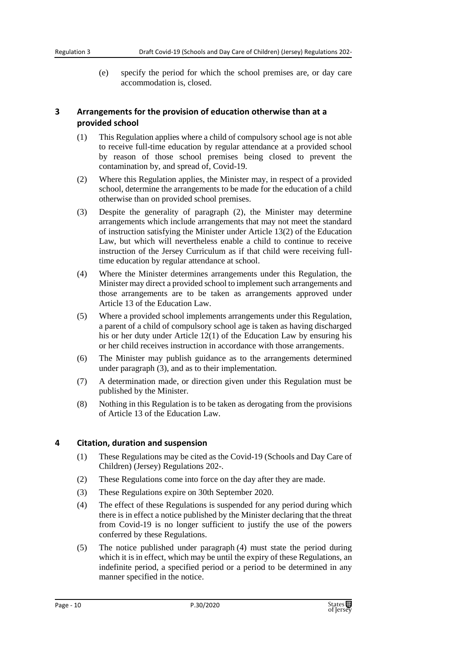(e) specify the period for which the school premises are, or day care accommodation is, closed.

### <span id="page-9-0"></span>**3 Arrangements for the provision of education otherwise than at a provided school**

- (1) This Regulation applies where a child of compulsory school age is not able to receive full-time education by regular attendance at a provided school by reason of those school premises being closed to prevent the contamination by, and spread of, Covid-19.
- (2) Where this Regulation applies, the Minister may, in respect of a provided school, determine the arrangements to be made for the education of a child otherwise than on provided school premises.
- (3) Despite the generality of paragraph (2), the Minister may determine arrangements which include arrangements that may not meet the standard of instruction satisfying the Minister under Article 13(2) of the Education Law, but which will nevertheless enable a child to continue to receive instruction of the Jersey Curriculum as if that child were receiving fulltime education by regular attendance at school.
- (4) Where the Minister determines arrangements under this Regulation, the Minister may direct a provided school to implement such arrangements and those arrangements are to be taken as arrangements approved under Article 13 of the Education Law.
- (5) Where a provided school implements arrangements under this Regulation, a parent of a child of compulsory school age is taken as having discharged his or her duty under Article 12(1) of the Education Law by ensuring his or her child receives instruction in accordance with those arrangements.
- (6) The Minister may publish guidance as to the arrangements determined under paragraph (3), and as to their implementation.
- (7) A determination made, or direction given under this Regulation must be published by the Minister.
- (8) Nothing in this Regulation is to be taken as derogating from the provisions of Article 13 of the Education Law.

#### <span id="page-9-1"></span>**4 Citation, duration and suspension**

- (1) These Regulations may be cited as the Covid-19 (Schools and Day Care of Children) (Jersey) Regulations 202-.
- (2) These Regulations come into force on the day after they are made.
- (3) These Regulations expire on 30th September 2020.
- (4) The effect of these Regulations is suspended for any period during which there is in effect a notice published by the Minister declaring that the threat from Covid-19 is no longer sufficient to justify the use of the powers conferred by these Regulations.
- (5) The notice published under paragraph (4) must state the period during which it is in effect, which may be until the expiry of these Regulations, an indefinite period, a specified period or a period to be determined in any manner specified in the notice.